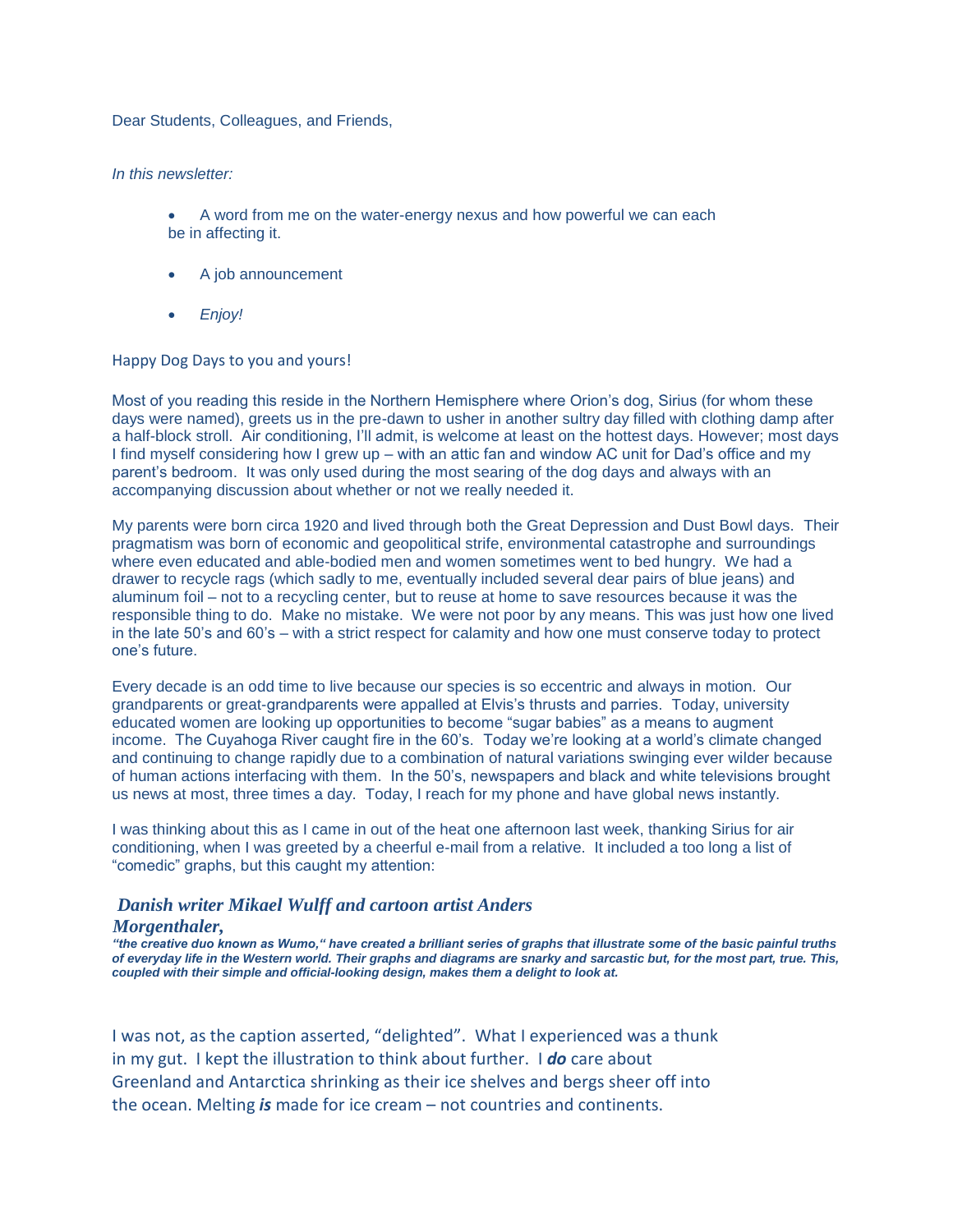Dear Students, Colleagues, and Friends,

## *In this newsletter:*

- A word from me on the water-energy nexus and how powerful we can each be in affecting it.
- A job announcement
- *Enjoy!*

## Happy Dog Days to you and yours!

Most of you reading this reside in the Northern Hemisphere where Orion's dog, Sirius (for whom these days were named), greets us in the pre-dawn to usher in another sultry day filled with clothing damp after a half-block stroll. Air conditioning, I'll admit, is welcome at least on the hottest days. However; most days I find myself considering how I grew up – with an attic fan and window AC unit for Dad's office and my parent's bedroom. It was only used during the most searing of the dog days and always with an accompanying discussion about whether or not we really needed it.

My parents were born circa 1920 and lived through both the Great Depression and Dust Bowl days. Their pragmatism was born of economic and geopolitical strife, environmental catastrophe and surroundings where even educated and able-bodied men and women sometimes went to bed hungry. We had a drawer to recycle rags (which sadly to me, eventually included several dear pairs of blue jeans) and aluminum foil – not to a recycling center, but to reuse at home to save resources because it was the responsible thing to do. Make no mistake. We were not poor by any means. This was just how one lived in the late 50's and 60's – with a strict respect for calamity and how one must conserve today to protect one's future.

Every decade is an odd time to live because our species is so eccentric and always in motion. Our grandparents or great-grandparents were appalled at Elvis's thrusts and parries. Today, university educated women are looking up opportunities to become "sugar babies" as a means to augment income. The Cuyahoga River caught fire in the 60's. Today we're looking at a world's climate changed and continuing to change rapidly due to a combination of natural variations swinging ever wilder because of human actions interfacing with them. In the 50's, newspapers and black and white televisions brought us news at most, three times a day. Today, I reach for my phone and have global news instantly.

I was thinking about this as I came in out of the heat one afternoon last week, thanking Sirius for air conditioning, when I was greeted by a cheerful e-mail from a relative. It included a too long a list of "comedic" graphs, but this caught my attention:

## *Danish writer Mikael Wulff and cartoon artist Anders Morgenthaler,*

*"the creative duo known as Wumo," have created a brilliant series of graphs that illustrate some of the basic painful truths of everyday life in the Western world. Their graphs and diagrams are snarky and sarcastic but, for the most part, true. This, coupled with their simple and official-looking design, makes them a delight to look at.*

I was not, as the caption asserted, "delighted". What I experienced was a thunk in my gut. I kept the illustration to think about further. I *do* care about Greenland and Antarctica shrinking as their ice shelves and bergs sheer off into the ocean. Melting *is* made for ice cream – not countries and continents.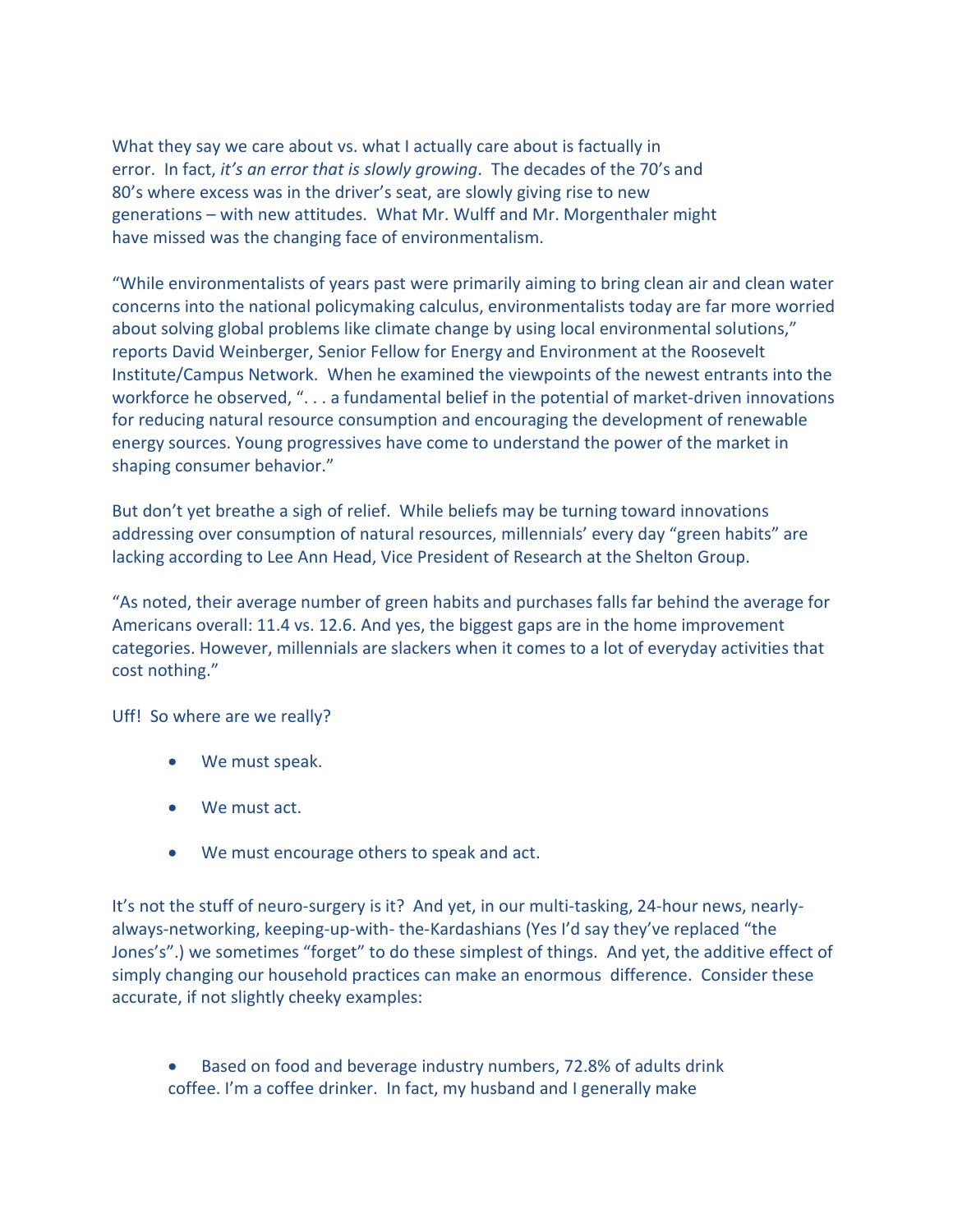What they say we care about vs. what I actually care about is factually in error. In fact, *it's an error that is slowly growing*. The decades of the 70's and 80's where excess was in the driver's seat, are slowly giving rise to new generations – with new attitudes. What Mr. Wulff and Mr. Morgenthaler might have missed was the changing face of environmentalism.

"While environmentalists of years past were primarily aiming to bring clean air and clean water concerns into the national policymaking calculus, environmentalists today are far more worried about solving global problems like climate change by using local environmental solutions," reports David Weinberger, Senior Fellow for Energy and Environment at the Roosevelt Institute/Campus Network. When he examined the viewpoints of the newest entrants into the workforce he observed, ". . . a fundamental belief in the potential of market-driven innovations for reducing natural resource consumption and encouraging the development of renewable energy sources. Young progressives have come to understand the power of the market in shaping consumer behavior."

But don't yet breathe a sigh of relief. While beliefs may be turning toward innovations addressing over consumption of natural resources, millennials' every day "green habits" are lacking according to Lee Ann Head, Vice President of Research at the Shelton Group.

"As noted, their average number of green habits and purchases falls far behind the average for Americans overall: 11.4 vs. 12.6. And yes, the biggest gaps are in the home improvement categories. However, millennials are slackers when it comes to a lot of everyday activities that cost nothing."

Uff! So where are we really?

- We must speak.
- We must act.
- We must encourage others to speak and act.

It's not the stuff of neuro-surgery is it? And yet, in our multi-tasking, 24-hour news, nearlyalways-networking, keeping-up-with- the-Kardashians (Yes I'd say they've replaced "the Jones's".) we sometimes "forget" to do these simplest of things. And yet, the additive effect of simply changing our household practices can make an enormous difference. Consider these accurate, if not slightly cheeky examples:

 Based on food and beverage industry numbers, 72.8% of adults drink coffee. I'm a coffee drinker. In fact, my husband and I generally make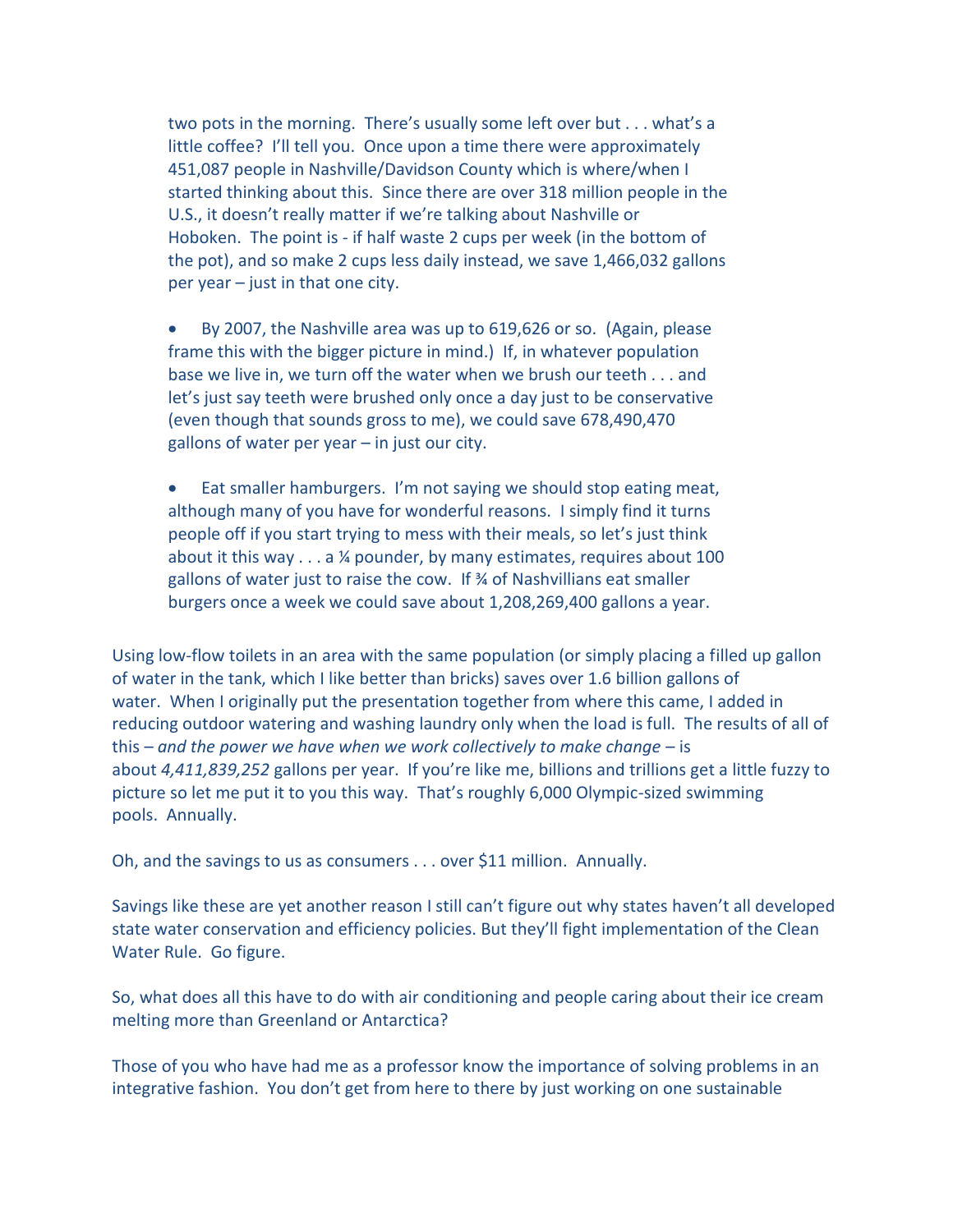two pots in the morning. There's usually some left over but . . . what's a little coffee? I'll tell you. Once upon a time there were approximately 451,087 people in Nashville/Davidson County which is where/when I started thinking about this. Since there are over 318 million people in the U.S., it doesn't really matter if we're talking about Nashville or Hoboken. The point is - if half waste 2 cups per week (in the bottom of the pot), and so make 2 cups less daily instead, we save 1,466,032 gallons per year – just in that one city.

 By 2007, the Nashville area was up to 619,626 or so. (Again, please frame this with the bigger picture in mind.) If, in whatever population base we live in, we turn off the water when we brush our teeth . . . and let's just say teeth were brushed only once a day just to be conservative (even though that sounds gross to me), we could save 678,490,470 gallons of water per year – in just our city.

 Eat smaller hamburgers. I'm not saying we should stop eating meat, although many of you have for wonderful reasons. I simply find it turns people off if you start trying to mess with their meals, so let's just think about it this way . . . a ¼ pounder, by many estimates, requires about 100 gallons of water just to raise the cow. If ¾ of Nashvillians eat smaller burgers once a week we could save about 1,208,269,400 gallons a year.

Using low-flow toilets in an area with the same population (or simply placing a filled up gallon of water in the tank, which I like better than bricks) saves over 1.6 billion gallons of water. When I originally put the presentation together from where this came, I added in reducing outdoor watering and washing laundry only when the load is full. The results of all of this – *and the power we have when we work collectively to make change –* is about *4,411,839,252* gallons per year. If you're like me, billions and trillions get a little fuzzy to picture so let me put it to you this way. That's roughly 6,000 Olympic-sized swimming pools. Annually.

Oh, and the savings to us as consumers . . . over \$11 million. Annually.

Savings like these are yet another reason I still can't figure out why states haven't all developed state water conservation and efficiency policies. But they'll fight implementation of the Clean Water Rule. Go figure.

So, what does all this have to do with air conditioning and people caring about their ice cream melting more than Greenland or Antarctica?

Those of you who have had me as a professor know the importance of solving problems in an integrative fashion. You don't get from here to there by just working on one sustainable